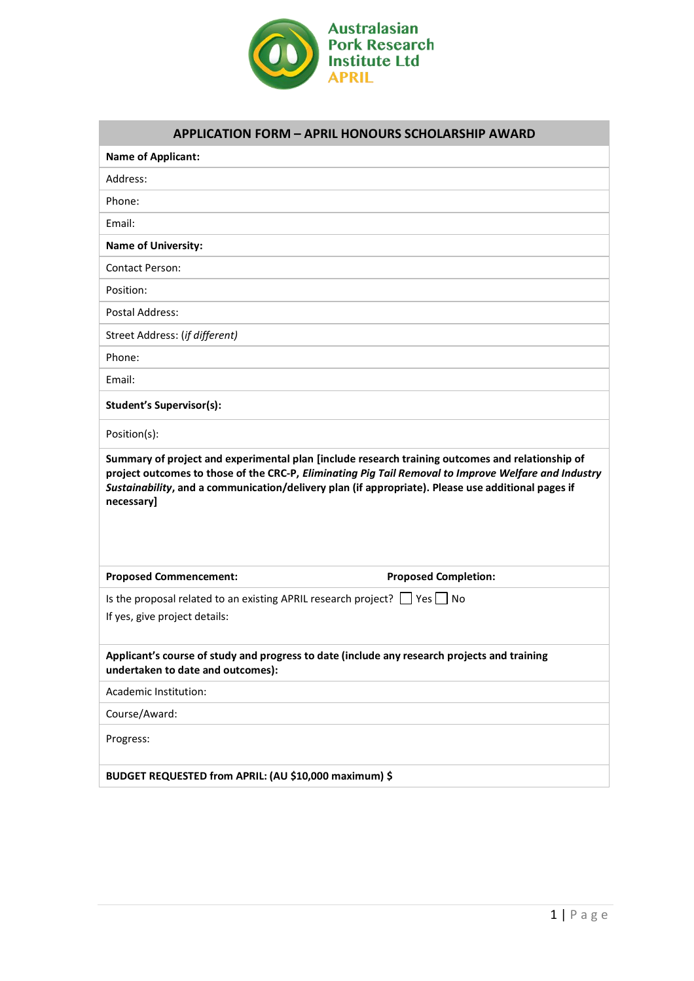

| <b>Name of Applicant:</b>                                                                                                         |                                                                                                      |
|-----------------------------------------------------------------------------------------------------------------------------------|------------------------------------------------------------------------------------------------------|
| Address:                                                                                                                          |                                                                                                      |
| Phone:                                                                                                                            |                                                                                                      |
| Email:                                                                                                                            |                                                                                                      |
| <b>Name of University:</b>                                                                                                        |                                                                                                      |
| <b>Contact Person:</b>                                                                                                            |                                                                                                      |
| Position:                                                                                                                         |                                                                                                      |
| Postal Address:                                                                                                                   |                                                                                                      |
| Street Address: (if different)                                                                                                    |                                                                                                      |
| Phone:                                                                                                                            |                                                                                                      |
| Email:                                                                                                                            |                                                                                                      |
| <b>Student's Supervisor(s):</b>                                                                                                   |                                                                                                      |
| Position(s):                                                                                                                      |                                                                                                      |
| Sustainability, and a communication/delivery plan (if appropriate). Please use additional pages if<br>necessary]                  | project outcomes to those of the CRC-P, Eliminating Pig Tail Removal to Improve Welfare and Industry |
| <b>Proposed Commencement:</b>                                                                                                     | <b>Proposed Completion:</b>                                                                          |
| Is the proposal related to an existing APRIL research project? $\Box$ Yes $\Box$ No<br>If yes, give project details:              |                                                                                                      |
| Applicant's course of study and progress to date (include any research projects and training<br>undertaken to date and outcomes): |                                                                                                      |
| Academic Institution:                                                                                                             |                                                                                                      |
|                                                                                                                                   |                                                                                                      |
| Course/Award:                                                                                                                     |                                                                                                      |
| Progress:                                                                                                                         |                                                                                                      |